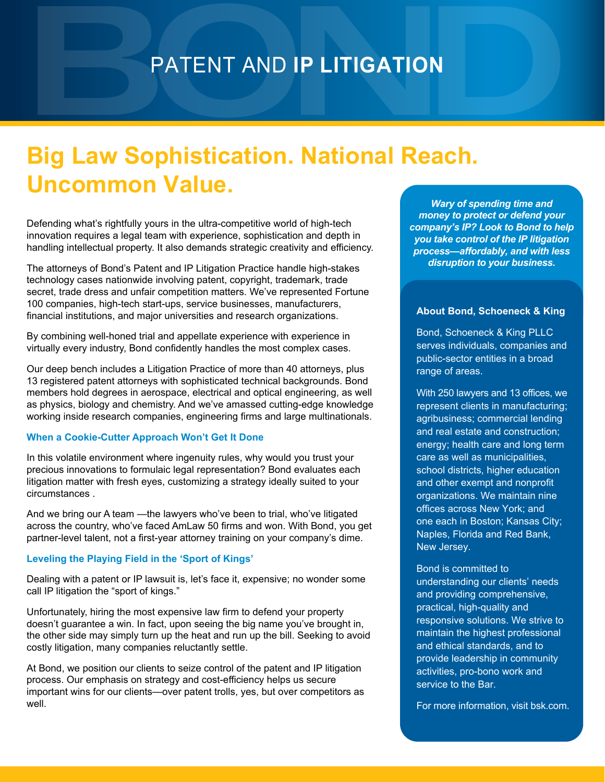### PATENT AND **IP LITIGATION**

## **Big Law Sophistication. National Reach. Uncommon Value.**

Defending what's rightfully yours in the ultra-competitive world of high-tech innovation requires a legal team with experience, sophistication and depth in handling intellectual property. It also demands strategic creativity and efficiency.

The attorneys of Bond's Patent and IP Litigation Practice handle high-stakes technology cases nationwide involving patent, copyright, trademark, trade secret, trade dress and unfair competition matters. We've represented Fortune 100 companies, high-tech start-ups, service businesses, manufacturers, financial institutions, and major universities and research organizations.

By combining well-honed trial and appellate experience with experience in virtually every industry, Bond confidently handles the most complex cases.

Our deep bench includes a Litigation Practice of more than 40 attorneys, plus 13 registered patent attorneys with sophisticated technical backgrounds. Bond members hold degrees in aerospace, electrical and optical engineering, as well as physics, biology and chemistry. And we've amassed cutting-edge knowledge working inside research companies, engineering firms and large multinationals.

#### **When a Cookie-Cutter Approach Won't Get It Done**

In this volatile environment where ingenuity rules, why would you trust your precious innovations to formulaic legal representation? Bond evaluates each litigation matter with fresh eyes, customizing a strategy ideally suited to your circumstances .

And we bring our A team —the lawyers who've been to trial, who've litigated across the country, who've faced AmLaw 50 firms and won. With Bond, you get partner-level talent, not a first-year attorney training on your company's dime.

#### **Leveling the Playing Field in the 'Sport of Kings'**

Dealing with a patent or IP lawsuit is, let's face it, expensive; no wonder some call IP litigation the "sport of kings."

Unfortunately, hiring the most expensive law firm to defend your property doesn't guarantee a win. In fact, upon seeing the big name you've brought in, the other side may simply turn up the heat and run up the bill. Seeking to avoid costly litigation, many companies reluctantly settle.

At Bond, we position our clients to seize control of the patent and IP litigation process. Our emphasis on strategy and cost-efficiency helps us secure important wins for our clients—over patent trolls, yes, but over competitors as well.

*Wary of spending time and money to protect or defend your company's IP? Look to Bond to help you take control of the IP litigation process—affordably, and with less disruption to your business.*

#### **About Bond, Schoeneck & King**

Bond, Schoeneck & King PLLC serves individuals, companies and public-sector entities in a broad range of areas.

With 250 lawyers and 13 offices, we represent clients in manufacturing; agribusiness; commercial lending and real estate and construction; energy; health care and long term care as well as municipalities, school districts, higher education and other exempt and nonprofit organizations. We maintain nine offices across New York; and one each in Boston; Kansas City; Naples, Florida and Red Bank, New Jersey.

Bond is committed to understanding our clients' needs and providing comprehensive, practical, high-quality and responsive solutions. We strive to maintain the highest professional and ethical standards, and to provide leadership in community activities, pro-bono work and service to the Bar.

For more information, visit bsk.com.